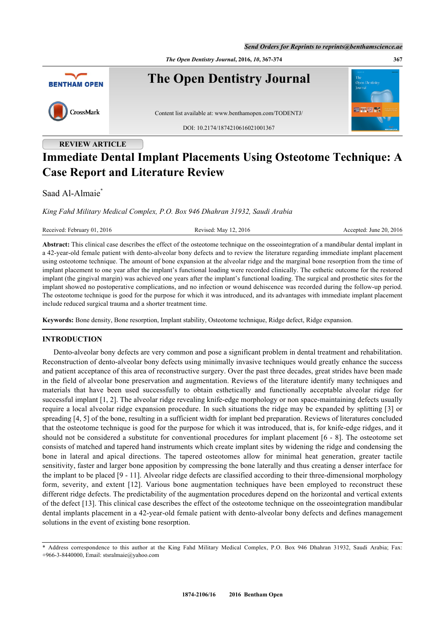*The Open Dentistry Journal***, 2016,** *10***, 367-374 367**



# **REVIEW ARTICLE Immediate Dental Implant Placements Using Osteotome Technique: A Case Report and Literature Review**

# Saad Al-Almaie<sup>[\\*](#page-0-0)</sup>

*King Fahd Military Medical Complex, P.O. Box 946 Dhahran 31932, Saudi Arabia*

Received: February 01, 2016 Revised: May 12, 2016 Revised: May 12, 2016 Accepted: June 20, 2016

**Abstract:** This clinical case describes the effect of the osteotome technique on the osseointegration of a mandibular dental implant in a 42-year-old female patient with dento-alveolar bony defects and to review the literature regarding immediate implant placement using osteotome technique. The amount of bone expansion at the alveolar ridge and the marginal bone resorption from the time of implant placement to one year after the implant's functional loading were recorded clinically. The esthetic outcome for the restored implant (the gingival margin) was achieved one years after the implant's functional loading. The surgical and prosthetic sites for the implant showed no postoperative complications, and no infection or wound dehiscence was recorded during the follow-up period. The osteotome technique is good for the purpose for which it was introduced, and its advantages with immediate implant placement include reduced surgical trauma and a shorter treatment time.

**Keywords:** Bone density, Bone resorption, Implant stability, Osteotome technique, Ridge defect, Ridge expansion.

# **INTRODUCTION**

Dento-alveolar bony defects are very common and pose a significant problem in dental treatment and rehabilitation. Reconstruction of dento-alveolar bony defects using minimally invasive techniques would greatly enhance the success and patient acceptance of this area of reconstructive surgery. Over the past three decades, great strides have been made in the field of alveolar bone preservation and augmentation. Reviews of the literature identify many techniques and materials that have been used successfully to obtain esthetically and functionally acceptable alveolar ridge for successful implant [\[1](#page-6-0), [2](#page-6-1)]. The alveolar ridge revealing knife-edge morphology or non space-maintaining defects usually require a local alveolar ridge expansion procedure. In such situations the ridge may be expanded by splitting [\[3](#page-6-2)] or spreading [\[4](#page-6-3), [5](#page-6-4)] of the bone, resulting in a sufficient width for implant bed preparation. Reviews of literatures concluded that the osteotome technique is good for the purpose for which it was introduced, that is, for knife-edge ridges, and it should not be considered a substitute for conventional procedures for implant placement [[6](#page-6-5) - [8](#page-6-6)]. The osteotome set consists of matched and tapered hand instruments which create implant sites by widening the ridge and condensing the bone in lateral and apical directions. The tapered osteotomes allow for minimal heat generation, greater tactile sensitivity, faster and larger bone apposition by compressing the bone laterally and thus creating a denser interface for the implant to be placed [[9](#page-6-7) - [11\]](#page-6-8). Alveolar ridge defects are classified according to their three-dimensional morphology form, severity, and extent[[12\]](#page-6-9). Various bone augmentation techniques have been employed to reconstruct these different ridge defects. The predictability of the augmentation procedures depend on the horizontal and vertical extents of the defect [\[13](#page-6-10)]. This clinical case describes the effect of the osteotome technique on the osseointegration mandibular dental implants placement in a 42-year-old female patient with dento-alveolar bony defects and defines management solutions in the event of existing bone resorption.

<span id="page-0-0"></span><sup>\*</sup> Address correspondence to this author at the King Fahd Military Medical Complex, P.O. Box 946 Dhahran 31932, Saudi Arabia; Fax: +966-3-8440000, Email: [stsralmaie@yahoo.com](mailto:stsralmaie@yahoo.com)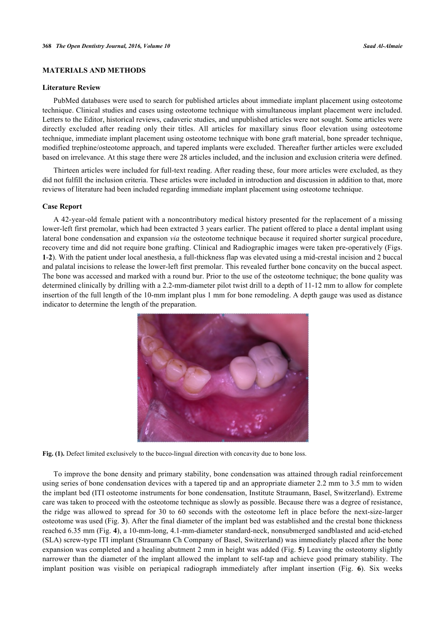# **MATERIALS AND METHODS**

### **Literature Review**

PubMed databases were used to search for published articles about immediate implant placement using osteotome technique. Clinical studies and cases using osteotome technique with simultaneous implant placement were included. Letters to the Editor, historical reviews, cadaveric studies, and unpublished articles were not sought. Some articles were directly excluded after reading only their titles. All articles for maxillary sinus floor elevation using osteotome technique, immediate implant placement using osteotome technique with bone graft material, bone spreader technique, modified trephine/osteotome approach, and tapered implants were excluded. Thereafter further articles were excluded based on irrelevance. At this stage there were 28 articles included, and the inclusion and exclusion criteria were defined.

Thirteen articles were included for full-text reading. After reading these, four more articles were excluded, as they did not fulfill the inclusion criteria. These articles were included in introduction and discussion in addition to that, more reviews of literature had been included regarding immediate implant placement using osteotome technique.

# **Case Report**

<span id="page-1-0"></span>A 42-year-old female patient with a noncontributory medical history presented for the replacement of a missing lower-left first premolar, which had been extracted 3 years earlier. The patient offered to place a dental implant using lateral bone condensation and expansion *via* the osteotome technique because it required shorter surgical procedure, recovery time and did not require bone grafting. Clinical and Radiographic images were taken pre-operatively (Figs. **[1](#page-1-0)**-**[2](#page-2-0)**). With the patient under local anesthesia, a full-thickness flap was elevated using a mid-crestal incision and 2 buccal and palatal incisions to release the lower-left first premolar. This revealed further bone concavity on the buccal aspect. The bone was accessed and marked with a round bur. Prior to the use of the osteotome technique; the bone quality was determined clinically by drilling with a 2.2-mm-diameter pilot twist drill to a depth of 11-12 mm to allow for complete insertion of the full length of the 10-mm implant plus 1 mm for bone remodeling. A depth gauge was used as distance indicator to determine the length of the preparation.



**Fig. (1).** Defect limited exclusively to the bucco-lingual direction with concavity due to bone loss.

To improve the bone density and primary stability, bone condensation was attained through radial reinforcement using series of bone condensation devices with a tapered tip and an appropriate diameter 2.2 mm to 3.5 mm to widen the implant bed (ITI osteotome instruments for bone condensation, Institute Straumann, Basel, Switzerland). Extreme care was taken to proceed with the osteotome technique as slowly as possible. Because there was a degree of resistance, the ridge was allowed to spread for 30 to 60 seconds with the osteotome left in place before the next-size-larger osteotome was used (Fig. **[3](#page-2-1)**). After the final diameter of the implant bed was established and the crestal bone thickness reached 6.35 mm (Fig. **[4](#page-2-2)**), a 10-mm-long, 4.1-mm-diameter standard-neck, nonsubmerged sandblasted and acid-etched (SLA) screw-type ITI implant (Straumann Ch Company of Basel, Switzerland) was immediately placed after the bone expansion was completed and a healing abutment 2 mm in height was added (Fig. **[5](#page-2-3)**) Leaving the osteotomy slightly narrower than the diameter of the implant allowed the implant to self-tap and achieve good primary stability. The implant position was visible on periapical radiograph immediately after implant insertion (Fig.**6**). Six weeks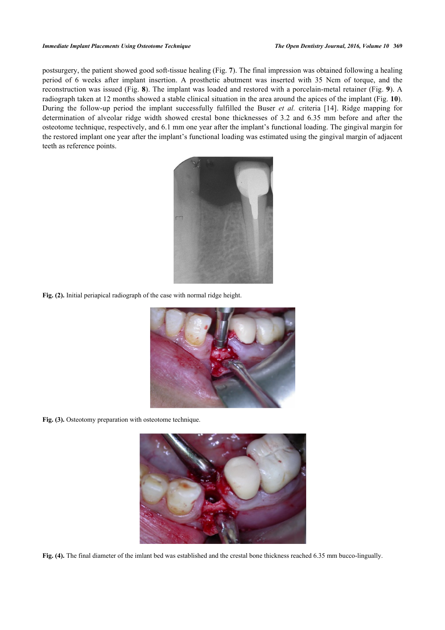#### *Immediate Implant Placements Using Osteotome Technique The Open Dentistry Journal, 2016, Volume 10* **369**

<span id="page-2-0"></span>postsurgery, the patient showed good soft-tissue healing (Fig. **[7](#page-3-1)**). The final impression was obtained following a healing period of 6 weeks after implant insertion. A prosthetic abutment was inserted with 35 Ncm of torque, and the reconstruction was issued (Fig. **[8](#page-3-2)**). The implant was loaded and restored with a porcelain-metal retainer (Fig. **[9](#page-4-0)**). A radiograph taken at 12 months showed a stable clinical situation in the area around the apices of the implant (Fig. **[10](#page-4-1)**). During the follow-up period the implant successfully fulfilled the Buser *et al.* criteria[[14](#page-6-11)]. Ridge mapping for determination of alveolar ridge width showed crestal bone thicknesses of 3.2 and 6.35 mm before and after the osteotome technique, respectively, and 6.1 mm one year after the implant's functional loading. The gingival margin for the restored implant one year after the implant's functional loading was estimated using the gingival margin of adjacent teeth as reference points.



**Fig. (2).** Initial periapical radiograph of the case with normal ridge height.

<span id="page-2-1"></span>

Fig. (3). Osteotomy preparation with osteotome technique.

<span id="page-2-3"></span><span id="page-2-2"></span>

**Fig. (4).** The final diameter of the imlant bed was established and the crestal bone thickness reached 6.35 mm bucco-lingually.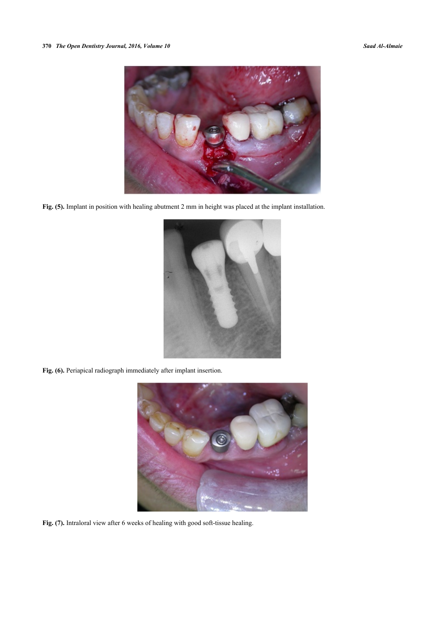

**Fig. (5).** Implant in position with healing abutment 2 mm in height was placed at the implant installation.

<span id="page-3-0"></span>

**Fig. (6).** Periapical radiograph immediately after implant insertion.

<span id="page-3-2"></span><span id="page-3-1"></span>

**Fig. (7).** Intraloral view after 6 weeks of healing with good soft-tissue healing.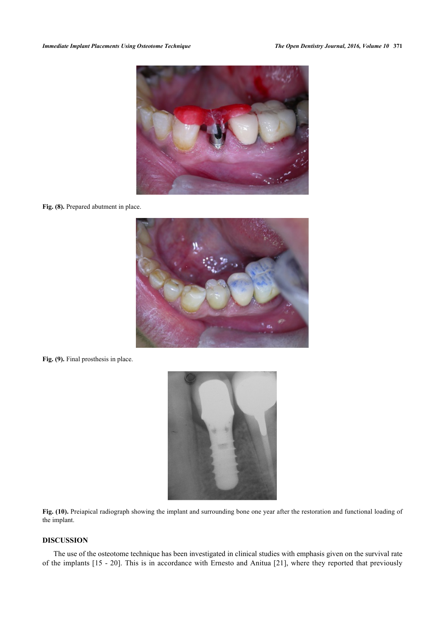#### *Immediate Implant Placements Using Osteotome Technique The Open Dentistry Journal, 2016, Volume 10* **371**



Fig. (8). Prepared abutment in place.

<span id="page-4-0"></span>

<span id="page-4-1"></span>Fig. (9). Final prosthesis in place.



Fig. (10). Preiapical radiograph showing the implant and surrounding bone one year after the restoration and functional loading of the implant.

# **DISCUSSION**

The use of the osteotome technique has been investigated in clinical studies with emphasis given on the survival rate of the implants [[15](#page-6-12) - [20\]](#page-6-13). This is in accordance with Ernesto and Anitua [[21\]](#page-7-0), where they reported that previously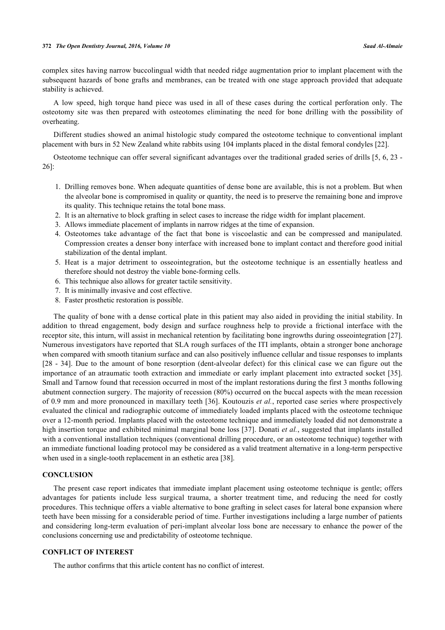### **372** *The Open Dentistry Journal, 2016, Volume 10 Saad Al-Almaie*

complex sites having narrow buccolingual width that needed ridge augmentation prior to implant placement with the subsequent hazards of bone grafts and membranes, can be treated with one stage approach provided that adequate stability is achieved.

A low speed, high torque hand piece was used in all of these cases during the cortical perforation only. The osteotomy site was then prepared with osteotomes eliminating the need for bone drilling with the possibility of overheating.

Different studies showed an animal histologic study compared the osteotome technique to conventional implant placement with burs in 52 New Zealand white rabbits using 104 implants placed in the distal femoral condyles [[22\]](#page-7-1).

Osteotome technique can offer several significant advantages over the traditional graded series of drills [\[5,](#page-6-4) [6,](#page-6-5) [23](#page-7-2) - [26\]](#page-7-3):

- 1. Drilling removes bone. When adequate quantities of dense bone are available, this is not a problem. But when the alveolar bone is compromised in quality or quantity, the need is to preserve the remaining bone and improve its quality. This technique retains the total bone mass.
- 2. It is an alternative to block grafting in select cases to increase the ridge width for implant placement.
- 3. Allows immediate placement of implants in narrow ridges at the time of expansion.
- 4. Osteotomes take advantage of the fact that bone is viscoelastic and can be compressed and manipulated. Compression creates a denser bony interface with increased bone to implant contact and therefore good initial stabilization of the dental implant.
- 5. Heat is a major detriment to osseointegration, but the osteotome technique is an essentially heatless and therefore should not destroy the viable bone-forming cells.
- 6. This technique also allows for greater tactile sensitivity.
- 7. It is minimally invasive and cost effective.
- 8. Faster prosthetic restoration is possible.

The quality of bone with a dense cortical plate in this patient may also aided in providing the initial stability. In addition to thread engagement, body design and surface roughness help to provide a frictional interface with the receptor site, this inturn, will assist in mechanical retention by facilitating bone ingrowths during osseointegration [[27\]](#page-7-4). Numerous investigators have reported that SLA rough surfaces of the ITI implants, obtain a stronger bone anchorage when compared with smooth titanium surface and can also positively influence cellular and tissue responses to implants [\[28](#page-7-5) - [34](#page-7-6)]. Due to the amount of bone resorption (dent-alveolar defect) for this clinical case we can figure out the importance of an atraumatic tooth extraction and immediate or early implant placement into extracted socket [\[35\]](#page-7-7). Small and Tarnow found that recession occurred in most of the implant restorations during the first 3 months following abutment connection surgery. The majority of recession (80%) occurred on the buccal aspects with the mean recession of 0.9 mm and more pronounced in maxillary teeth [[36](#page-7-8)]. Koutouzis *et al.*, reported case series where prospectively evaluated the clinical and radiographic outcome of immediately loaded implants placed with the osteotome technique over a 12-month period. Implants placed with the osteotome technique and immediately loaded did not demonstrate a high insertion torque and exhibited minimal marginal bone loss [[37](#page-7-9)]. Donati *et al.*, suggested that implants installed with a conventional installation techniques (conventional drilling procedure, or an osteotome technique) together with an immediate functional loading protocol may be considered as a valid treatment alternative in a long-term perspective when used in a single-tooth replacement in an esthetic area [\[38](#page-7-10)].

# **CONCLUSION**

The present case report indicates that immediate implant placement using osteotome technique is gentle; offers advantages for patients include less surgical trauma, a shorter treatment time, and reducing the need for costly procedures. This technique offers a viable alternative to bone grafting in select cases for lateral bone expansion where teeth have been missing for a considerable period of time. Further investigations including a large number of patients and considering long-term evaluation of peri-implant alveolar loss bone are necessary to enhance the power of the conclusions concerning use and predictability of osteotome technique.

# **CONFLICT OF INTEREST**

The author confirms that this article content has no conflict of interest.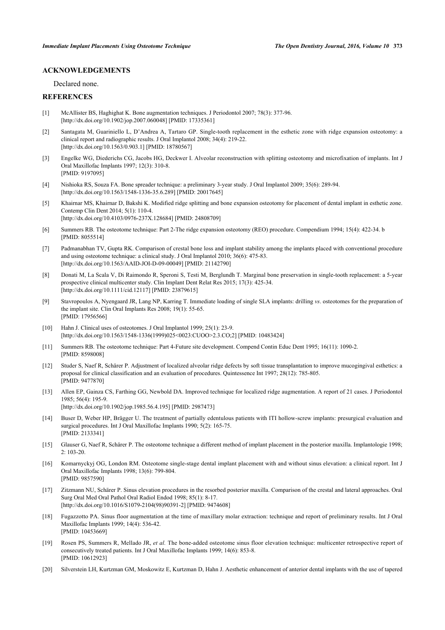# **ACKNOWLEDGEMENTS**

Declared none.

# **REFERENCES**

- <span id="page-6-0"></span>[1] McAllister BS, Haghighat K. Bone augmentation techniques. J Periodontol 2007; 78(3): 377-96. [\[http://dx.doi.org/10.1902/jop.2007.060048](http://dx.doi.org/10.1902/jop.2007.060048)] [PMID: [17335361\]](http://www.ncbi.nlm.nih.gov/pubmed/17335361)
- <span id="page-6-1"></span>[2] Santagata M, Guariniello L, D'Andrea A, Tartaro GP. Single-tooth replacement in the esthetic zone with ridge expansion osteotomy: a clinical report and radiographic results. J Oral Implantol 2008; 34(4): 219-22. [\[http://dx.doi.org/10.1563/0.903.1\]](http://dx.doi.org/10.1563/0.903.1) [PMID: [18780567](http://www.ncbi.nlm.nih.gov/pubmed/18780567)]
- <span id="page-6-2"></span>[3] Engelke WG, Diederichs CG, Jacobs HG, Deckwer I. Alveolar reconstruction with splitting osteotomy and microfixation of implants. Int J Oral Maxillofac Implants 1997; 12(3): 310-8. [PMID: [9197095\]](http://www.ncbi.nlm.nih.gov/pubmed/9197095)
- <span id="page-6-3"></span>[4] Nishioka RS, Souza FA. Bone spreader technique: a preliminary 3-year study. J Oral Implantol 2009; 35(6): 289-94. [\[http://dx.doi.org/10.1563/1548-1336-35.6.289](http://dx.doi.org/10.1563/1548-1336-35.6.289)] [PMID: [20017645\]](http://www.ncbi.nlm.nih.gov/pubmed/20017645)
- <span id="page-6-4"></span>[5] Khairnar MS, Khairnar D, Bakshi K. Modified ridge splitting and bone expansion osteotomy for placement of dental implant in esthetic zone. Contemp Clin Dent 2014; 5(1): 110-4. [\[http://dx.doi.org/10.4103/0976-237X.128684](http://dx.doi.org/10.4103/0976-237X.128684)] [PMID: [24808709\]](http://www.ncbi.nlm.nih.gov/pubmed/24808709)
- <span id="page-6-5"></span>[6] Summers RB. The osteotome technique: Part 2-The ridge expansion osteotomy (REO) procedure. Compendium 1994; 15(4): 422-34. b [PMID: [8055514\]](http://www.ncbi.nlm.nih.gov/pubmed/8055514)
- [7] Padmanabhan TV, Gupta RK. Comparison of crestal bone loss and implant stability among the implants placed with conventional procedure and using osteotome technique: a clinical study. J Oral Implantol 2010; 36(6): 475-83. [\[http://dx.doi.org/10.1563/AAID-JOI-D-09-00049\]](http://dx.doi.org/10.1563/AAID-JOI-D-09-00049) [PMID: [21142790](http://www.ncbi.nlm.nih.gov/pubmed/21142790)]
- <span id="page-6-6"></span>[8] Donati M, La Scala V, Di Raimondo R, Speroni S, Testi M, Berglundh T. Marginal bone preservation in single-tooth replacement: a 5-year prospective clinical multicenter study. Clin Implant Dent Relat Res 2015; 17(3): 425-34. [\[http://dx.doi.org/10.1111/cid.12117\]](http://dx.doi.org/10.1111/cid.12117) [PMID: [23879615](http://www.ncbi.nlm.nih.gov/pubmed/23879615)]
- <span id="page-6-7"></span>[9] Stavropoulos A, Nyengaard JR, Lang NP, Karring T. Immediate loading of single SLA implants: drilling *vs*. osteotomes for the preparation of the implant site. Clin Oral Implants Res 2008; 19(1): 55-65. [PMID: [17956566\]](http://www.ncbi.nlm.nih.gov/pubmed/17956566)
- [10] Hahn J. Clinical uses of osteotomes. J Oral Implantol 1999; 25(1): 23-9. [\[http://dx.doi.org/10.1563/1548-1336\(1999\)025<0023:CUOO>2.3.CO;2](http://dx.doi.org/10.1563/1548-1336(1999)025<0023:CUOO>2.3.CO;2)] [PMID: [10483424\]](http://www.ncbi.nlm.nih.gov/pubmed/10483424)
- <span id="page-6-8"></span>[11] Summers RB. The osteotome technique: Part 4-Future site development. Compend Contin Educ Dent 1995; 16(11): 1090-2. [PMID: [8598008\]](http://www.ncbi.nlm.nih.gov/pubmed/8598008)
- <span id="page-6-9"></span>[12] Studer S, Naef R, Schärer P. Adjustment of localized alveolar ridge defects by soft tissue transplantation to improve mucogingival esthetics: a proposal for clinical classification and an evaluation of procedures. Quintessence Int 1997; 28(12): 785-805. [PMID: [9477870\]](http://www.ncbi.nlm.nih.gov/pubmed/9477870)
- <span id="page-6-10"></span>[13] Allen EP, Gainza CS, Farthing GG, Newbold DA. Improved technique for localized ridge augmentation. A report of 21 cases. J Periodontol  $1985: 56(4): 195-9$ [\[http://dx.doi.org/10.1902/jop.1985.56.4.195](http://dx.doi.org/10.1902/jop.1985.56.4.195)] [PMID: [2987473\]](http://www.ncbi.nlm.nih.gov/pubmed/2987473)
- <span id="page-6-11"></span>[14] Buser D, Weber HP, Brägger U. The treatment of partially edentulous patients with ITI hollow-screw implants: presurgical evaluation and surgical procedures. Int J Oral Maxillofac Implants 1990; 5(2): 165-75. [PMID: [2133341\]](http://www.ncbi.nlm.nih.gov/pubmed/2133341)
- <span id="page-6-12"></span>[15] Glauser G, Naef R, Schärer P. The osteotome technique a different method of implant placement in the posterior maxilla. Implantologie 1998;  $2: 103 - 20$
- [16] Komarnyckyj OG, London RM. Osteotome single-stage dental implant placement with and without sinus elevation: a clinical report. Int J Oral Maxillofac Implants 1998; 13(6): 799-804. [PMID: [9857590\]](http://www.ncbi.nlm.nih.gov/pubmed/9857590)
- [17] Zitzmann NU, Schärer P. Sinus elevation procedures in the resorbed posterior maxilla. Comparison of the crestal and lateral approaches. Oral Surg Oral Med Oral Pathol Oral Radiol Endod 1998; 85(1): 8-17. [\[http://dx.doi.org/10.1016/S1079-2104\(98\)90391-2\]](http://dx.doi.org/10.1016/S1079-2104(98)90391-2) [PMID: [9474608](http://www.ncbi.nlm.nih.gov/pubmed/9474608)]
- [18] Fugazzotto PA. Sinus floor augmentation at the time of maxillary molar extraction: technique and report of preliminary results. Int J Oral Maxillofac Implants 1999; 14(4): 536-42. [PMID: [10453669\]](http://www.ncbi.nlm.nih.gov/pubmed/10453669)
- [19] Rosen PS, Summers R, Mellado JR, *et al.* The bone-added osteotome sinus floor elevation technique: multicenter retrospective report of consecutively treated patients. Int J Oral Maxillofac Implants 1999; 14(6): 853-8. [PMID: [10612923\]](http://www.ncbi.nlm.nih.gov/pubmed/10612923)
- <span id="page-6-13"></span>[20] Silverstein LH, Kurtzman GM, Moskowitz E, Kurtzman D, Hahn J. Aesthetic enhancement of anterior dental implants with the use of tapered